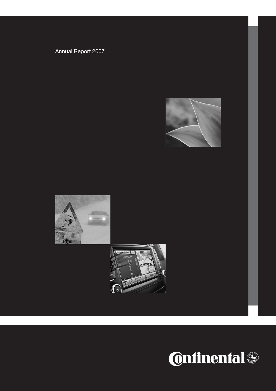## Annual Report 2007





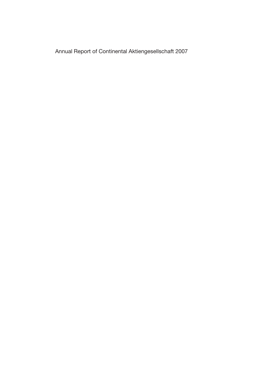Annual Report of Continental Aktiengesellschaft 2007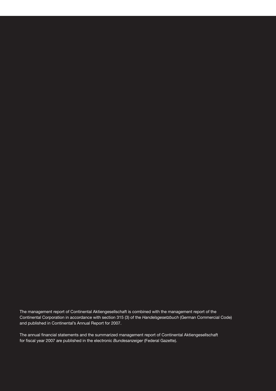The management report of Continental Aktiengesellschaft is combined with the management report of the Continental Corporation in accordance with section 315 (3) of the *Handelsgesetzbuch* (German Commercial Code) and published in Continental's Annual Report for 2007.

The annual financial statements and the summarized management report of Continental Aktiengesellschaft for fiscal year 2007 are published in the electronic *Bundesanzeiger* (Federal Gazette).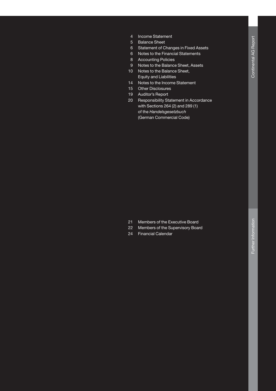- 4 Income Statement
- 5 Balance Sheet
- 6 Statement of Changes in Fixed Assets
- 6 Notes to the Financial Statements
- 8 Accounting Policies
- 9 Notes to the Balance Sheet, Assets
- 10 Notes to the Balance Sheet, Equity and Liabilities
- 14 Notes to the Income Statement
- 15 Other Disclosures
- 19 Auditor's Report
- 20 Responsibility Statement in Accordance with Sections 264 (2) and 289 (1) of the *Handelsgesetzbuch* (German Commercial Code)

- 21 Members of the Executive Board
- 22 Members of the Supervisory Board
- **24 Financial Calendar**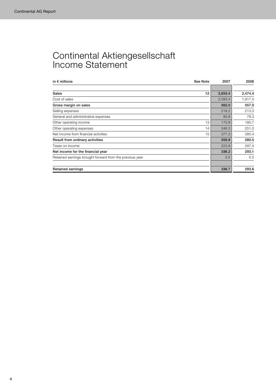## Continental Aktiengesellschaft Income Statement

| in $\epsilon$ millions<br>See Note                       | 2007    | 2006    |
|----------------------------------------------------------|---------|---------|
|                                                          |         |         |
| <b>Sales</b><br>12                                       | 2,655.4 | 2,474.4 |
| Cost of sales                                            | 2,093.4 | 1,917.4 |
| Gross margin on sales                                    | 562.0   | 557.0   |
| Selling expenses                                         | 218.2   | 213.3   |
| General and administrative expenses                      | 85.8    | 78.3    |
| 13<br>Other operating income                             | 170.8   | 180.7   |
| Other operating expenses<br>14                           | 246.3   | 251.0   |
| Net income from financial activities<br>15               | 377.3   | 385.4   |
| Result from ordinary activities                          | 559.8   | 580.5   |
| Taxes on income                                          | 223.6   | 287.4   |
| Net income for the financial year                        | 336.2   | 293.1   |
| Retained earnings brought forward from the previous year | 0.5     | 0.5     |
| <b>Retained earnings</b>                                 | 336.7   | 293.6   |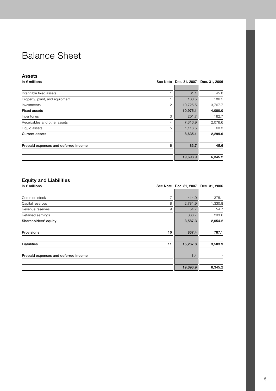## Balance Sheet

## Assets

| in $\epsilon$ millions                    | See Note Dec. 31, 2007 | Dec. 31, 2006 |
|-------------------------------------------|------------------------|---------------|
|                                           |                        |               |
| Intangible fixed assets                   | 61.1                   | 45.8          |
| Property, plant, and equipment            | 188.5                  | 186.5         |
| $\overline{2}$<br>Investments             | 10,725.5               | 3,767.7       |
| <b>Fixed assets</b>                       | 10,975.1               | 4,000.0       |
| 3<br>Inventories                          | 201.7                  | 162.7         |
| Receivables and other assets<br>4         | 7,316.9                | 2,076.6       |
| 5<br>Liquid assets                        | 1,116.5                | 60.3          |
| <b>Current assets</b>                     | 8,635.1                | 2,299.6       |
| Prepaid expenses and deferred income<br>6 | 83.7                   | 45.6          |
|                                           | 19,693.9               | 6,345.2       |

## Equity and Liabilities

| $=$ quity and $=$ iabilitiou         |    |                        |               |
|--------------------------------------|----|------------------------|---------------|
| in $\epsilon$ millions               |    | See Note Dec. 31, 2007 | Dec. 31, 2006 |
|                                      |    |                        |               |
| Common stock                         | 7  | 414.0                  | 375.1         |
| Capital reserves                     | 8  | 2,781.9                | 1,330.8       |
| Revenue reserves                     | 9  | 54.7                   | 54.7          |
| Retained earnings                    |    | 336.7                  | 293.6         |
| Shareholders' equity                 |    | 3,587.3                | 2,054.2       |
|                                      |    |                        |               |
| Provisions                           | 10 | 837.4                  | 787.1         |
|                                      |    |                        |               |
| Liabilities                          | 11 | 15,267.8               | 3,503.9       |
|                                      |    |                        |               |
| Prepaid expenses and deferred income |    | 1.4                    |               |
|                                      |    |                        |               |
|                                      |    | 19,693.9               | 6,345.2       |
|                                      |    |                        |               |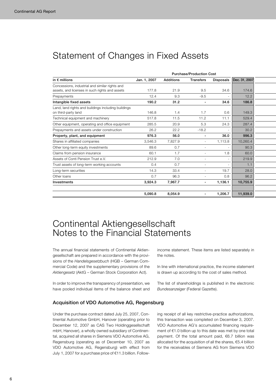## Statement of Changes in Fixed Assets

|                                                     | <b>Purchase/Production Cost</b> |                  |                          |                  |               |  |
|-----------------------------------------------------|---------------------------------|------------------|--------------------------|------------------|---------------|--|
| in $\epsilon$ millions                              | Jan. 1, 2007                    | <b>Additions</b> | <b>Transfers</b>         | <b>Disposals</b> | Dec. 31, 2007 |  |
| Concessions, industrial and similar rights and      |                                 |                  |                          |                  |               |  |
| assets, and licenses in such rights and assets      | 177.8                           | 21.9             | 9.5                      | 34.6             | 174.6         |  |
| Prepayments                                         | 12.4                            | 9.3              | $-9.5$                   |                  | 12.2          |  |
| Intangible fixed assets                             | 190.2                           | 31.2             | ٠                        | 34.6             | 186.8         |  |
| Land, land rights and buildings including buildings |                                 |                  |                          |                  |               |  |
| on third-party land                                 | 146.8                           | 1.4              | 1.7                      | 0.6              | 149.3         |  |
| Technical equipment and machinery                   | 517.8                           | 11.5             | 11.2                     | 11.1             | 529.4         |  |
| Other equipment, operating and office equipment     | 285.5                           | 20.9             | 5.3                      | 24.3             | 287.4         |  |
| Prepayments and assets under construction           | 26.2                            | 22.2             | $-18.2$                  |                  | 30.2          |  |
| Property, plant, and equipment                      | 976.3                           | 56.0             | ٠                        | 36.0             | 996.3         |  |
| Shares in affiliated companies                      | 3,546.3                         | 7,827.9          |                          | 1,113.8          | 10,260.4      |  |
| Other long-term equity investments                  | 89.6                            | 0.7              | $\overline{\phantom{a}}$ |                  | 90.3          |  |
| Claims from pension insurance                       | 60.1                            | 1.7              |                          | 1.8              | 60.0          |  |
| Assets of Conti Pension Trust e.V.                  | 212.9                           | 7.0              | $\overline{a}$           |                  | 219.9         |  |
| Trust assets of long-term working accounts          | 0.4                             | 0.7              | $\overline{a}$           |                  | 1.1           |  |
| Long-term securities                                | 14.3                            | 33.4             |                          | 19.7             | 28.0          |  |
| Other loans                                         | 0.7                             | 96.3             | $\overline{\phantom{a}}$ | 0.8              | 96.2          |  |
| Investments                                         | 3,924.3                         | 7,967.7          |                          | 1,136.1          | 10,755.9      |  |
|                                                     |                                 |                  |                          |                  |               |  |
|                                                     | 5,090.8                         | 8,054.9          |                          | 1,206.7          | 11,939.0      |  |

## Continental Aktiengesellschaft Notes to the Financial Statements

The annual financial statements of Continental Aktiengesellschaft are prepared in accordance with the provisions of the *Handelsgesetzbuch* (HGB – German Commercial Code) and the supplementary provisions of the *Aktiengesetz* (AktG – German Stock Corporation Act).

In order to improve the transparency of presentation, we have pooled individual items of the balance sheet and

## Acquisition of VDO Automotive AG, Regensburg

Under the purchase contract dated July 25, 2007, Continental Automotive GmbH, Hanover (operating prior to December 12, 2007 as CAS Two Holdinggesellschaft mbH, Hanover), a wholly owned subsidiary of Continental, acquired all shares in Siemens VDO Automotive AG, Regensburg (operating as of December 10, 2007 as VDO Automotive AG, Regensburg) with effect from July 1, 2007 for a purchase price of €11.3 billion. Followincome statement. These items are listed separately in the notes.

In line with international practice, the income statement is drawn up according to the cost of sales method.

The list of shareholdings is published in the electronic *Bundesanzeiger* (Federal Gazette).

ing receipt of all key restrictive-practice authorizations, this transaction was completed on December 3, 2007. VDO Automotive AG's accumulated financing requirement of €1.0 billion up to this date was met by one total payment. Of the total amount paid, €6.7 billion was allocated for the acquisition of all the shares, €5.4 billion for the receivables of Siemens AG from Siemens VDO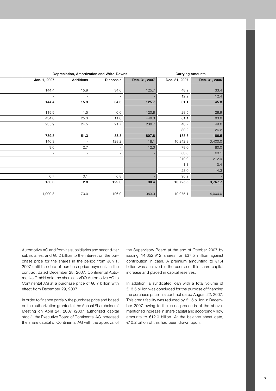|                | Depreciation, Amortization and Write-Downs |                          |               | <b>Carrying Amounts</b> |               |
|----------------|--------------------------------------------|--------------------------|---------------|-------------------------|---------------|
| Jan. 1, 2007   | <b>Additions</b>                           | <b>Disposals</b>         | Dec. 31, 2007 | Dec. 31, 2007           | Dec. 31, 2006 |
|                |                                            |                          |               |                         |               |
| 144.4          | 15.9                                       | 34.6                     | 125.7         | 48.9                    | 33.4          |
|                |                                            | $\overline{\phantom{a}}$ |               | 12.2                    | 12.4          |
| 144.4          | 15.9                                       | 34.6                     | 125.7         | 61.1                    | 45.8          |
|                |                                            |                          |               |                         |               |
| 119.9          | 1.5                                        | 0.6                      | 120.8         | 28.5                    | 26.9          |
| 434.0          | 25.3                                       | 11.0                     | 448.3         | 81.1                    | 83.8          |
| 235.9          | 24.5                                       | 21.7                     | 238.7         | 48.7                    | 49.6          |
|                |                                            | $\sim$                   |               | 30.2                    | 26.2          |
| 789.8          | 51.3                                       | 33.3                     | 807.8         | 188.5                   | 186.5         |
| 146.3          |                                            | 128.2                    | 18.1          | 10,242.3                | 3,400.0       |
| 9.6            | 2.7                                        | $\overline{\phantom{a}}$ | 12.3          | 78.0                    | 80.0          |
| $\overline{a}$ | $\overline{\phantom{a}}$                   | $\sim$                   |               | 60.0                    | 60.1          |
|                |                                            |                          |               | 219.9                   | 212.9         |
|                |                                            |                          |               | 1.1                     | 0.4           |
|                | $\overline{a}$                             | $\overline{\phantom{a}}$ |               | 28.0                    | 14.3          |
| 0.7            | 0.1                                        | 0.8                      |               | 96.2                    |               |
| 156.6          | 2.8                                        | 129.0                    | 30.4          | 10,725.5                | 3,767.7       |
|                |                                            |                          |               |                         |               |
| 1,090.8        | 70.0                                       | 196.9                    | 963.9         | 10,975.1                | 4,000.0       |
|                |                                            |                          |               |                         |               |

Automotive AG and from its subsidiaries and second-tier subsidiaries, and €0.2 billion to the interest on the purchase price for the shares in the period from July 1, 2007 until the date of purchase price payment. In the contract dated December 28, 2007, Continental Automotive GmbH sold the shares in VDO Automotive AG to Continental AG at a purchase price of €6.7 billion with effect from December 29, 2007.

In order to finance partially the purchase price and based on the authorization granted at the Annual Shareholders' Meeting on April 24, 2007 (2007 authorized capital stock), the Executive Board of Continental AG increased the share capital of Continental AG with the approval of

the Supervisory Board at the end of October 2007 by issuing 14,652,912 shares for €37.5 million against contribution in cash. A premium amounting to €1.4 billion was achieved in the course of this share capital increase and placed in capital reserves.

In addition, a syndicated loan with a total volume of €13.5 billion was concluded for the purpose of financing the purchase price in a contract dated August 22, 2007. This credit facility was reduced by €1.5 billion in December 2007 owing to the issue proceeds of the abovementioned increase in share capital and accordingly now amounts to €12.0 billion. At the balance sheet date, €10.2 billion of this had been drawn upon.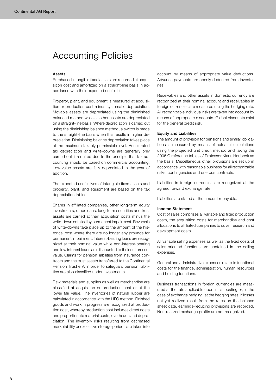## Accounting Policies

#### Assets

Purchased intangible fixed assets are recorded at acquisition cost and amortized on a straight-line basis in accordance with their expected useful life.

Property, plant, and equipment is measured at acquisition or production cost minus systematic depreciation. Movable assets are depreciated using the diminished balanced method while all other assets are depreciated on a straight-line basis. Where depreciation is carried out using the diminishing balance method, a switch is made to the straight-line basis when this results in higher depreciation. Diminishing balance depreciation takes place at the maximum taxably permissible level. Accelerated tax depreciation and write-downs are generally only carried out if required due to the principle that tax accounting should be based on commercial accounting. Low-value assets are fully depreciated in the year of addition.

The expected useful lives of intangible fixed assets and property, plant, and equipment are based on the tax depreciation tables.

Shares in affiliated companies, other long-term equity investments, other loans, long-term securities and trust assets are carried at their acquisition costs minus the write-down entailed by permanent impairment. Reversals of write-downs take place up to the amount of the historical cost where there are no longer any grounds for permanent impairment. Interest-bearing loans are recognized at their nominal value while non-interest-bearing and low interest loans are discounted to their net present value. Claims for pension liabilities from insurance contracts and the trust assets transferred to the Continental Pension Trust e.V. in order to safeguard pension liabilities are also classified under investments.

Raw materials and supplies as well as merchandise are classified at acquisition or production cost or at the lower fair value. The inventories of natural rubber are calculated in accordance with the LIFO method. Finished goods and work in progress are recognized at production cost, whereby production cost includes direct costs and proportionate material costs, overheads and depreciation. The inventory risks resulting from decreased marketability or excessive storage periods are taken into

account by means of appropriate value deductions. Advance payments are openly deducted from inventories.

Receivables and other assets in domestic currency are recognized at their nominal account and receivables in foreign currencies are measured using the hedging rate. All recognizable individual risks are taken into account by means of appropriate discounts. Global discounts exist for the general credit risk.

#### Equity and Liabilities

The amount of provision for pensions and similar obligations is measured by means of actuarial calculations using the projected unit credit method and taking the 2005 G reference tables of Professor Klaus Heubeck as the basis. Miscellaneous other provisions are set up in accordance with reasonable business for all recognizable risks, contingencies and onerous contracts.

Liabilities in foreign currencies are recognized at the agreed forward exchange rate.

Liabilities are stated at the amount repayable.

### Income Statement

Cost of sales comprises all variable and fixed production costs, the acquisition costs for merchandise and cost allocations to affiliated companies to cover research and development costs.

All variable selling expenses as well as the fixed costs of sales-oriented functions are contained in the selling expenses.

General and administrative expenses relate to functional costs for the finance, administration, human resources and holding functions.

Business transactions in foreign currencies are measured at the rate applicable upon initial posting or, in the case of exchange hedging, at the hedging rates. If losses not yet realized result from the rates on the balance sheet date, earnings-reducing provisions are recorded. Non-realized exchange profits are not recognized.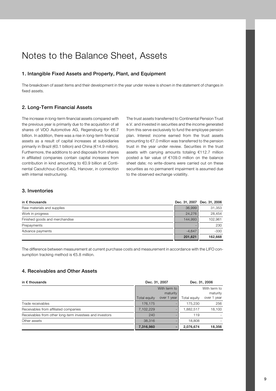## Notes to the Balance Sheet, Assets

## 1. Intangible Fixed Assets and Property, Plant, and Equipment

The breakdown of asset items and their development in the year under review is shown in the statement of changes in fixed assets.

## 2. Long-Term Financial Assets

The increase in long-term financial assets compared with the previous year is primarily due to the acquisition of all shares of VDO Automotive AG, Regensburg for €6.7 billion. In addition, there was a rise in long-term financial assets as a result of capital increases at subsidiaries primarily in Brazil (€0.1 billion) and China (€14.9 million). Furthermore, the additions to and disposals from shares in affiliated companies contain capital increases from contribution in kind amounting to €0.9 billion at Continental Caoutchouc-Export-AG, Hanover, in connection with internal restructuring.

The trust assets transferred to Continental Pension Trust e.V. and invested in securities and the income generated from this serve exclusively to fund the employee pension plan. Interest income earned from the trust assets amounting to €7.0 million was transferred to the pension trust in the year under review. Securities in the trust assets with carrying amounts totaling €112.7 million posted a fair value of €109.0 million on the balance sheet date; no write-downs were carried out on these securities as no permanent impairment is assumed due to the observed exchange volatility.

## 3. Inventories

| in $\epsilon$ thousands        | Dec. 31, 2007 | Dec. 31, 2006 |
|--------------------------------|---------------|---------------|
| Raw materials and supplies     | 36,999        | 31,353        |
| Work in progress               | 24.276        | 28.454        |
| Finished goods and merchandise | 144.993       | 102.961       |
| Prepayments                    |               | 230           |
| Advance payments               | $-4.647$      | $-330$        |
|                                | 201,621       | 162,668       |

The difference between measurement at current purchase costs and measurement in accordance with the LIFO consumption tracking method is €5.8 million.

## 4. Receivables and Other Assets

| in $\epsilon$ thousands                                  | Dec. 31, 2007 |              | Dec. 31, 2006 |              |
|----------------------------------------------------------|---------------|--------------|---------------|--------------|
|                                                          |               | With term to |               | With term to |
|                                                          |               | maturity     |               | maturity     |
|                                                          | Total equity  | over 1 year  | Total equity  | over 1 year  |
| Trade receivables                                        | 176.175       | -            | 175.230       | 256          |
| Receivables from affiliated companies                    | 7,102,229     | -            | .882.517      | 18,100       |
| Receivables from other long-term investees and investors | 240           |              | 119           |              |
| Other assets                                             | 38,316        |              | 18,808        |              |
|                                                          | 7,316,960     | -            | 2,076,674     | 18,356       |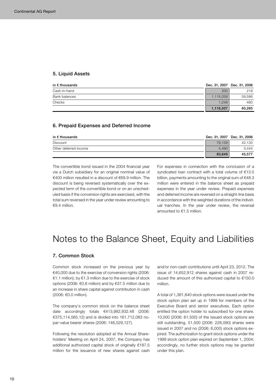### 5. Liquid Assets

| in $\epsilon$ thousands |           | Dec. 31, 2007 Dec. 31, 2006 |
|-------------------------|-----------|-----------------------------|
| Cash-in-hand            | 200       | 219                         |
| Bank balances           | 1,115,059 | 59,586                      |
| Checks                  | 1.248     | 480                         |
|                         | 1,116,507 | 60,285                      |

### 6. Prepaid Expenses and Deferred Income

| in $\epsilon$ thousands |        | Dec. 31, 2007 Dec. 31, 2006 |
|-------------------------|--------|-----------------------------|
| Discount                | 79.159 | 42.133                      |
| Other deferred income   | 4.490  | 3.444                       |
|                         | 83,649 | 45.577                      |

The convertible bond issued in the 2004 financial year via a Dutch subsidiary for an original nominal value of €400 million resulted in a discount of €69.9 million. The discount is being reversed systematically over the expected term of the convertible bond or on an unscheduled basis if the conversion rights are exercised, with the total sum reversed in the year under review amounting to €9.4 million.

For expenses in connection with the conclusion of a syndicated loan contract with a total volume of €13.5 billion, payments amounting to the original sum of €48.3 million were entered in the balance sheet as prepaid expenses in the year under review. Prepaid expenses and deferred income are reversed on a straight-line basis in accordance with the weighted durations of the individual tranches. In the year under review, the reversal amounted to €1.5 million.

## Notes to the Balance Sheet, Equity and Liabilities

### 7. Common Stock

Common stock increased on the previous year by €40,000 due to the exercise of conversion rights (2006: €1.1 million), by €1.3 million due to the exercise of stock options (2006: €0.6 million) and by €37.5 million due to an increase in share capital against contribution in cash (2006: €0.0 million).

The company's common stock on the balance sheet date accordingly totals €413,982,932.48 (2006: €375,114,565.12) and is divided into 161,712,083 nopar-value bearer shares (2006: 146,529,127).

Following the resolution adopted at the Annual Shareholders' Meeting on April 24, 2007, the Company has additional authorized capital stock of originally €187.5 million for the issuance of new shares against cash and/or non-cash contributions until April 23, 2012. The issue of 14,652,912 shares against cash in 2007 reduced the amount of this authorized capital to €150.0 million.

A total of 1,381,840 stock options were issued under the stock option plan set up in 1999 for members of the Executive Board and senior executives. Each option entitled the option holder to subscribed for one share. 10,000 (2006: 61,500) of the issued stock options are still outstanding. 51,500 (2006: 228,090) shares were issued in 2007 and no (2006: 6,000) stock options expired. The authorization to grant stock options under the 1999 stock option plan expired on September 1, 2004; accordingly, no further stock options may be granted under this plan.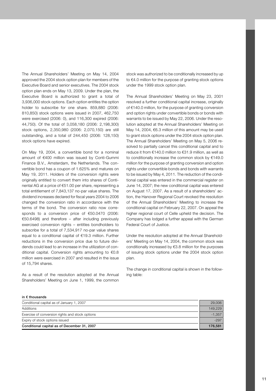The Annual Shareholders' Meeting on May 14, 2004 approved the 2004 stock option plan for members of the Executive Board and senior executives. The 2004 stock option plan ends on May 13, 2009. Under the plan, the Executive Board is authorized to grant a total of 3,936,000 stock options. Each option entitles the option holder to subscribe for one share. 859,880 (2006: 810,850) stock options were issued in 2007, 462,750 were exercised (2006: 0), and 116,300 expired (2006: 44,750). Of the total of 3,058,180 (2006: 2,198,300) stock options, 2,350,980 (2006: 2,070,150) are still outstanding, and a total of 244,450 (2006: 128,150) stock options have expired.

On May 19, 2004, a convertible bond for a nominal amount of €400 million was issued by Conti-Gummi Finance B.V., Amsterdam, the Netherlands. The convertible bond has a coupon of 1.625% and matures on May 19, 2011. Holders of the conversion rights were originally entitled to convert them into shares of Continental AG at a price of €51.00 per share, representing a total entitlement of 7,843,137 no-par value shares. The dividend increases declared for fiscal years 2004 to 2006 changed the conversion ratio in accordance with the terms of the bond. The conversion ratio now corresponds to a conversion price of €50.0470 (2006: €50.6498) and therefore – after including previously exercised conversion rights – entitles bondholders to subscribe for a total of 7,534,917 no-par value shares equal to a conditional capital of €19.3 million. Further reductions in the conversion price due to future dividends could lead to an increase in the utilization of conditional capital. Conversion rights amounting to €0.8 million were exercised in 2007 and resulted in the issue of 15,794 shares.

As a result of the resolution adopted at the Annual Shareholders' Meeting on June 1, 1999, the common stock was authorized to be conditionally increased by up to €4.0 million for the purpose of granting stock options under the 1999 stock option plan.

The Annual Shareholders' Meeting on May 23, 2001 resolved a further conditional capital increase, originally of €140.0 million, for the purpose of granting conversion and option rights under convertible bonds or bonds with warrants to be issued by May 22, 2006. Under the resolution adopted at the Annual Shareholders' Meeting on May 14, 2004, €6.3 million of this amount may be used to grant stock options under the 2004 stock option plan. The Annual Shareholders' Meeting on May 5, 2006 resolved to partially cancel this conditional capital and to reduce it from €140.0 million to €31.9 million, as well as to conditionally increase the common stock by €149.0 million for the purpose of granting conversion and option rights under convertible bonds and bonds with warrants to be issued by May 4, 2011. The reduction of the conditional capital was entered in the commercial register on June 14, 2007; the new conditional capital was entered on August 17, 2007. As a result of a shareholders' action, the Hanover Regional Court revoked the resolution of the Annual Shareholders' Meeting to increase the conditional capital on February 22, 2007. On appeal the higher regional court of Celle upheld the decision. The Company has lodged a further appeal with the German Federal Court of Justice.

Under the resolution adopted at the Annual Shareholders' Meeting on May 14, 2004, the common stock was conditionally increased by €3.8 million for the purposes of issuing stock options under the 2004 stock option plan.

The change in conditional capital is shown in the following table:

#### in € thousands

| Conditional capital as of January 1, 2007       | 29,006   |
|-------------------------------------------------|----------|
| Additions                                       | 149.229  |
| Exercise of conversion rights and stock options | $-1.357$ |
| Expiry of stock options issued                  | $-297$   |
| Conditional capital as of December 31, 2007     | 176.581  |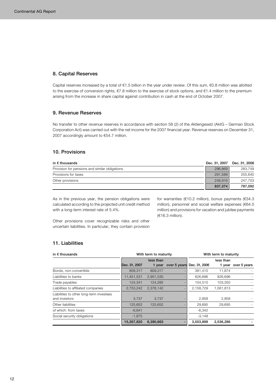## 8. Capital Reserves

Capital reserves increased by a total of €1.5 billion in the year under review. Of this sum, €0.8 million was allotted to the exercise of conversion rights, €7.8 million to the exercise of stock options, and €1.4 million to the premium arising from the increase in share capital against contribution in cash at the end of October 2007.

## 9. Revenue Reserves

No transfer to other revenue reserves in accordance with section 58 (2) of the *Aktiengesetz* (AktG – German Stock Corporation Act) was carried out with the net income for the 2007 financial year. Revenue reserves on December 31, 2007 accordingly amount to €54.7 million.

## 10. Provisions

| in $\bm{\epsilon}$ thousands                   | Dec. 31, 2007 | Dec. 31, 2006 |
|------------------------------------------------|---------------|---------------|
| Provision for pensions and similar obligations | 296,869       | 283.749       |
| Provisions for taxes                           | 291.589       | 255.640       |
| Other provisions                               | 248,916       | 247.703       |
|                                                | 837,374       | 787.092       |

As in the previous year, the pension obligations were calculated according to the projected unit credit method with a long-term interest rate of 5.4%.

for warranties (€10.2 million), bonus payments (€34.3 million), personnel and social welfare expenses (€64.5 million) and provisions for vacation and jubilee payments (€16.3 million).

Other provisions cover recognizable risks and other uncertain liabilities. In particular, they contain provision

## 11. Liabilities

| in $\epsilon$ thousands                                   | With term to maturity |           |              | With term to maturity |           |                     |
|-----------------------------------------------------------|-----------------------|-----------|--------------|-----------------------|-----------|---------------------|
|                                                           |                       | less than |              |                       | less than |                     |
|                                                           | Dec. 31, 2007         | 1 vear    | over 5 years | Dec. 31, 2006         |           | 1 year over 5 years |
| Bonds, non-convertible                                    | 809.317               | 809.317   |              | 381,410               | 11.874    |                     |
| Liabilities to banks                                      | 11,451,531            | 2,951,530 |              | 826,696               | 826,696   |                     |
| Trade payables                                            | 124.341               | 124.285   |              | 104,510               | 103.350   |                     |
| Liabilities to affiliated companies                       | 2,753,242             | 2,376,142 |              | 2,158,729             | 1,561,813 |                     |
| Liabilities to other long-term investees<br>and investors | 3.737                 | 3.737     |              | 2,858                 | 2.858     |                     |
| Other liabilities                                         | 125,652               | 125.652   |              | 29,695                | 29,695    |                     |
| of which: from taxes                                      | $-6,641$              |           |              | $-6,342$              |           |                     |
| Social security obligations                               | $-1.875$              |           |              | $-3,148$              |           |                     |
|                                                           | 15,267,820            | 6.390.663 |              | 3,503,898             | 2,536,286 |                     |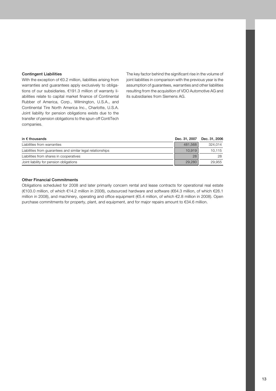#### Contingent Liabilities

With the exception of €0.2 million, liabilities arising from warranties and guarantees apply exclusively to obligations of our subsidiaries. €191.3 million of warranty liabilities relate to capital market finance of Continental Rubber of America, Corp., Wilmington, U.S.A., and Continental Tire North America Inc., Charlotte, U.S.A. Joint liability for pension obligations exists due to the transfer of pension obligations to the spun-off ContiTech companies.

The key factor behind the significant rise in the volume of joint liabilities in comparison with the previous year is the assumption of guarantees, warranties and other liabilities resulting from the acquisition of VDO Automotive AG and its subsidiaries from Siemens AG.

| in $\epsilon$ thousands                                     | Dec. 31, 2007 | Dec. 31, 2006 |
|-------------------------------------------------------------|---------------|---------------|
| Liabilities from warranties                                 | 481.568       | 324.014       |
| Liabilities from quarantees and similar legal relationships | 10.919        | 10.115        |
| Liabilities from shares in cooperatives                     | 28            | 28            |
| Joint liability for pension obligations                     | 29,280        | 29.955        |

## Other Financial Commitments

Obligations scheduled for 2008 and later primarily concern rental and lease contracts for operational real estate (€103.0 million, of which €14.2 million in 2008), outsourced hardware and software (€64.3 million, of which €26.1 million in 2008), and machinery, operating and office equipment (€5.4 million, of which €2.8 million in 2008). Open purchase commitments for property, plant, and equipment, and for major repairs amount to €34.6 million.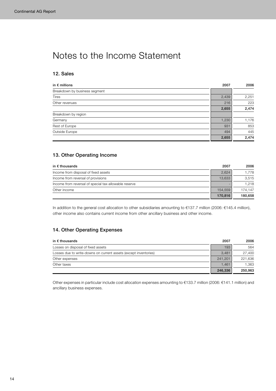## Notes to the Income Statement

## 12. Sales

| in $\epsilon$ millions        | 2007  | 2006  |
|-------------------------------|-------|-------|
| Breakdown by business segment |       |       |
| <b>Tires</b>                  | 2,439 | 2,251 |
| Other revenues                | 216   | 223   |
|                               | 2,655 | 2,474 |
| Breakdown by region           |       |       |
| Germany                       | 1,230 | 1,176 |
| Rest of Europe                | 931   | 853   |
| Outside Europe                | 494   | 445   |
|                               | 2,655 | 2,474 |

## 13. Other Operating Income

| in $\epsilon$ thousands                               | 2007    | 2006    |
|-------------------------------------------------------|---------|---------|
| Income from disposal of fixed assets                  | 2,624   | 1.778   |
| Income from reversal of provisions                    | 13.633  | 3,515   |
| Income from reversal of special tax-allowable reserve |         | 1.218   |
| Other income                                          | 154.559 | 174.147 |
|                                                       | 170,816 | 180.658 |

In addition to the general cost allocation to other subsidiaries amounting to €137.7 million (2006: €145.4 million), other income also contains current income from other ancillary business and other income.

## 14. Other Operating Expenses

| in $\epsilon$ thousands                                          | 2007    | 2006    |
|------------------------------------------------------------------|---------|---------|
| Losses on disposal of fixed assets                               | 193     | 564     |
| Losses due to write-downs on current assets (except inventories) | 3.481   | 27,400  |
| Other expenses                                                   | 241.201 | 221,636 |
| Other taxes                                                      | 1.461   | 1,363   |
|                                                                  | 246,336 | 250,963 |

Other expenses in particular include cost allocation expenses amounting to €133.7 million (2006: €141.1 million) and ancillary business expenses.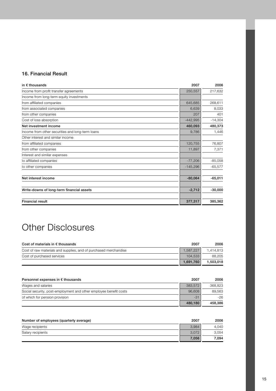## 16. Financial Result

| in $\epsilon$ thousands                          | 2007       | 2006      |
|--------------------------------------------------|------------|-----------|
| Income from profit transfer agreements           | 250,557    | 217,632   |
| Income from long-term equity investments         |            |           |
| from affiliated companies                        | 645,685    | 268,611   |
| from associated companies                        | 6,639      | 8,033     |
| from other companies                             | 207        | 401       |
| Cost of loss absorption                          | $-442,995$ | $-14,304$ |
| Net investment income                            | 460,093    | 480,373   |
| Income from other securities and long-term loans | 9,786      | 1,446     |
| Other interest and similar income                |            |           |
| from affiliated companies                        | 120,755    | 76,807    |
| from other companies                             | 11,897     | 7,371     |
| Interest and similar expenses                    |            |           |
| to affiliated companies                          | $-77,206$  | $-85,058$ |
| to other companies                               | $-145,296$ | $-65,577$ |
| Net interest income                              | $-80,064$  | $-65,011$ |
| Write-downs of long-term financial assets        | $-2,712$   | $-30,000$ |
| <b>Financial result</b>                          | 377,317    | 385,362   |

# Other Disclosures

| Cost of materials in $\epsilon$ thousands                        | 2007      | 2006      |
|------------------------------------------------------------------|-----------|-----------|
| Cost of raw materials and supplies, and of purchased merchandise | 1.587.227 | 1.414.813 |
| Cost of purchased services                                       | 104.533   | 88.205    |
|                                                                  | 1.691.760 | 1,503,018 |

| Personnel expenses in $\epsilon$ thousands                        | 2007    | 2006    |
|-------------------------------------------------------------------|---------|---------|
| Wages and salaries                                                | 383.572 | 368,823 |
| Social security, post-employment and other employee benefit costs | 96,608  | 89.563  |
| of which for pension provision                                    | $-31$   | -26     |
|                                                                   | 480.180 | 458.386 |

| Number of employees (quarterly average) | 2007  | 2006  |
|-----------------------------------------|-------|-------|
| Wage recipients                         | 3.984 | 4.040 |
| Salary recipients                       | 3.072 | 3.054 |
|                                         | 7,056 | 7.094 |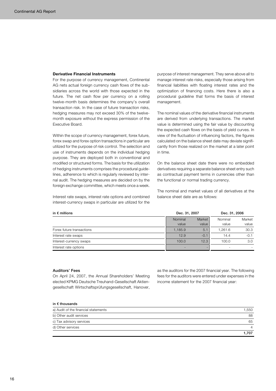### **Derivative Financial Instruments**

For the purpose of currency management, Continental AG nets actual foreign currency cash flows of the subsidiaries across the world with those expected in the future. The net cash flow per currency on a rolling twelve-month basis determines the company's overall transaction risk. In the case of future transaction risks, hedging measures may not exceed 30% of the twelvemonth exposure without the express permission of the Executive Board.

Within the scope of currency management, forex future, forex swap and forex option transactions in particular are utilized for the purpose of risk control. The selection and use of instruments depends on the individual hedging purpose. They are deployed both in conventional and modified or structured forms. The basis for the utilization of hedging instruments comprises the procedural guidelines, adherence to which is regularly reviewed by internal audit. The hedging measures are decided on by the foreign exchange committee, which meets once a week.

Interest rate swaps, interest rate options and combined interest-currency swaps in particular are utilized for the purpose of interest management. They serve above all to manage interest rate risks, especially those arising from financial liabilities with floating interest rates and the optimization of financing costs. Here there is also a procedural guideline that forms the basis of interest management.

The nominal values of the derivative financial instruments are derived from underlying transactions. The market value is determined using the fair value by discounting the expected cash flows on the basis of yield curves. In view of the fluctuation of influencing factors, the figures calculated on the balance sheet date may deviate significantly from those realized on the market at a later point in time.

On the balance sheet date there were no embedded derivatives requiring a separate balance sheet entry such as contractual payment terms in currencies other than the functional or normal trading currency.

The nominal and market values of all derivatives at the balance sheet date are as follows:

| in $\epsilon$ millions    | Dec. 31, 2007 |        | Dec. 31, 2006 |        |
|---------------------------|---------------|--------|---------------|--------|
|                           | Nominal       | Market | Nominal       | Market |
|                           | value         | value  | value         | value  |
| Forex future transactions | 1,185.9       | 5.1    | 1.261.6       | 30.3   |
| Interest rate swaps       | 12.9          | $-0.1$ | 14.4          | $-0.1$ |
| Interest-currency swaps   | 100.0         | 12.3   | 100.0         | 3.0    |
| Interest rate options     |               |        |               |        |

#### Auditors' Fees

On April 24, 2007, the Annual Shareholders' Meeting elected KPMG Deutsche Treuhand-Gesellschaft Aktiengesellschaft Wirtschaftsprüfungsgesellschaft, Hanover, as the auditors for the 2007 financial year. The following fees for the auditors were entered under expenses in the income statement for the 2007 financial year:

### in € thousands

| a) Audit of the financial statements | 1.550         |
|--------------------------------------|---------------|
| b) Other audit services              | 88            |
| c) Tax advisory services             | 65            |
| d) Other services                    | $\mathcal{A}$ |
|                                      | 707،،         |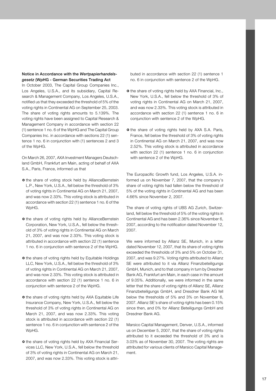### Notice in Accordance with the *Wertpapierhandelsgesetz* (WpHG - German Securities Trading Act

In October 2003, The Capital Group Companies Inc., Los Angeles, U.S.A., and its subsidiary, Capital Research & Management Company, Los Angeles, U.S.A., notified us that they exceeded the threshold of 5% of the voting rights in Continental AG on September 25, 2003. The share of voting rights amounts to 5.139%. The voting rights have been assigned to Capital Research & Management Company in accordance with section 22 (1) sentence 1 no. 6 of the WpHG and The Capital Group Companies Inc. in accordance with sections 22 (1) sentence 1 no. 6 in conjunction with (1) sentences 2 and 3 of the WpHG.

On March 26, 2007, AXA Investment Managers Deutschland GmbH, Frankfurt am Main, acting of behalf of AXA S.A., Paris, France, informed us that

- **o** the share of voting stock held by AllianceBernstein L.P., New York, U.S.A., fell below the threshold of 3% of voting rights in Continental AG on March 21, 2007, and was now 2.33%. This voting stock is attributed in accordance with section 22 (1) sentence 1 no. 6 of the WpHG.
- **o** the share of voting rights held by AllianceBernstein Corporation, New York, U.S.A., fell below the threshold of 3% of voting rights in Continental AG on March 21, 2007, and was now 2.33%. This voting stock is attributed in accordance with section 22 (1) sentence 1 no. 6 in conjunction with sentence 2 of the WpHG.
- **o** the share of voting rights held by Equitable Holdings LLC, New York, U.S.A., fell below the threshold of 3% of voting rights in Continental AG on March 21, 2007, and was now 2.33%. This voting stock is attributed in accordance with section 22 (1) sentence 1 no. 6 in conjunction with sentence 2 of the WpHG.
- **o** the share of voting rights held by AXA Equitable Life Insurance Company, New York, U.S.A., fell below the threshold of 3% of voting rights in Continental AG on March 21, 2007, and was now 2.33%. This voting stock is attributed in accordance with section 22 (1) sentence 1 no. 6 in conjunction with sentence 2 of the WpHG.
- **o** the share of voting rights held by AXA Financial Services LLC, New York, U.S.A., fell below the threshold of 3% of voting rights in Continental AG on March 21, 2007, and was now 2.33%. This voting stock is attri-

buted in accordance with section 22 (1) sentence 1 no. 6 in conjunction with sentence 2 of the WpHG.

- **o** the share of voting rights held by AXA Financial, Inc., New York, U.S.A., fell below the threshold of 3% of voting rights in Continental AG on March 21, 2007, and was now 2.33%. This voting stock is attributed in accordance with section 22 (1) sentence 1 no. 6 in conjunction with sentence 2 of the WpHG.
- **o** the share of voting rights held by AXA S.A. Paris, France, fell below the threshold of 3% of voting rights in Continental AG on March 21, 2007, and was now 2.52%. This voting stock is attributed in accordance with section 22 (1) sentence 1 no. 6 in conjunction with sentence 2 of the WpHG.

The Europacific Growth fund, Los Angeles, U.S.A. informed us on November 7, 2007, that the company's share of voting rights had fallen below the threshold of 5% of the voting rights in Continental AG and has been 4.66% since November 2, 2007.

The share of voting rights of UBS AG Zurich, Switzerland, fell below the threshold of 5% of the voting rights in Continental AG and has been 2.36% since November 6, 2007, according to the notification dated November 12, 2007.

We were informed by Allianz SE, Munich, in a letter dated November 12, 2007, that its share of voting rights exceeded the thresholds of 3% and 5% on October 31, 2007, and was 9.27%. Voting rights attributed to Allianz SE were attributed to it via Allianz Finanzbeteiligungs GmbH, Munich, and to that company in turn by Dresdner Bank AG, Frankfurt am Main, in each case in the amount of 9.05%. Additionally, we were informed in the same letter that the share of voting rights of Allianz SE, Allianz Finanzbeteiligungs GmbH, and Dresdner Bank AG fell below the thresholds of 5% and 3% on November 6, 2007. Allianz SE's share of voting rights has been 0.15% since then, and 0% for Allianz Beteiligungs GmbH and Dresdner Bank AG.

Marsico Capital Management, Denver, U.S.A., informed us on December 5, 2007, that the share of voting rights attributed to it exceeded the threshold of 3% and is 3.03% as of November 30, 2007. The voting rights are attributed for various clients of Marsico Capital Management.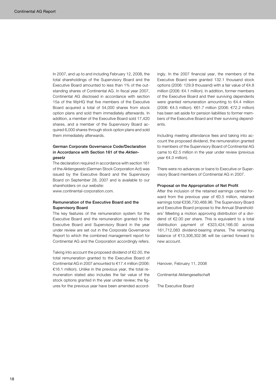In 2007, and up to and including February 12, 2008, the total shareholdings of the Supervisory Board and the Executive Board amounted to less than 1% of the outstanding shares of Continental AG. In fiscal year 2007, Continental AG disclosed in accordance with section 15a of the WpHG that five members of the Executive Board acquired a total of 54,000 shares from stock option plans and sold them immediately afterwards. In addition, a member of the Executive Board sold 17,420 shares, and a member of the Supervisory Board acquired 6,000 shares through stock option plans and sold them immediately afterwards.

### German Corporate Governance Code/Declaration in Accordance with Section 161 of the *Aktiengesetz*

The declaration required in accordance with section 161 of the *Aktiengesetz* (German Stock Corporation Act) was issued by the Executive Board and the Supervisory Board on September 28, 2007 and is available to our shareholders on our website:

www.continental-corporation.com.

### Remuneration of the Executive Board and the Supervisory Board

The key features of the remuneration system for the Executive Board and the remuneration granted to the Executive Board and Supervisory Board in the year under review are set out in the Corporate Governance Report to which the combined management report for Continental AG and the Corporation accordingly refers.

Taking into account the proposed dividend of €2.00, the total remuneration granted to the Executive Board of Continental AG in 2007 amounted to €17.4 million (2006: €16.1 million). Unlike in the previous year, the total remuneration stated also includes the fair value of the stock options granted in the year under review; the figures for the previous year have been amended accordingly. In the 2007 financial year, the members of the Executive Board were granted 132.1 thousand stock options (2006: 129.9 thousand) with a fair value of €4.8 million (2006: €4.1 million). In addition, former members of the Executive Board and their surviving dependents were granted remuneration amounting to €4.4 million (2006: €4.5 million). €61.7 million (2006: €72.2 million) has been set aside for pension liabilities to former members of the Executive Board and their surviving dependents.

Including meeting attendance fees and taking into account the proposed dividend, the remuneration granted to members of the Supervisory Board of Continental AG came to €2.5 million in the year under review (previous year €4.3 million).

There were no advances or loans to Executive or Supervisory Board members of Continental AG in 2007.

#### Proposal on the Appropriation of Net Profit

After the inclusion of the retained earnings carried forward from the previous year of €0.5 million, retained earnings total €336,730,468.96. The Supervisory Board and Executive Board propose to the Annual Shareholders' Meeting a motion approving distribution of a dividend of €2.00 per share. This is equivalent to a total distribution payment of €323,424,166.00 across 161,712,083 dividend-bearing shares. The remaining balance of €13,306,302.96 will be carried forward to new account.

Hanover, February 11, 2008

Continental Aktiengesellschaft

The Executive Board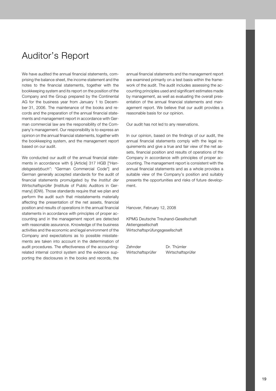## Auditor's Report

We have audited the annual financial statements, comprising the balance sheet, the income statement and the notes to the financial statements, together with the bookkeeping system and its report on the position of the Company and the Group prepared by the Continental AG for the business year from January 1 to December 31, 2006. The maintenance of the books and records and the preparation of the annual financial statements and management report in accordance with German commercial law are the responsibility of the Company's management. Our responsibility is to express an opinion on the annual financial statements, together with the bookkeeping system, and the management report based on our audit.

We conducted our audit of the annual financial statements in accordance with § [Article] 317 HGB ["*Handelsgesetzbuch*": "German Commercial Code"] and German generally accepted standards for the audit of financial statements promulgated by the *Institut der Wirtschaftsprüfer* [Institute of Public Auditors in Germany] (IDW). Those standards require that we plan and perform the audit such that misstatements materially affecting the presentation of the net assets, financial position and results of operations in the annual financial statements in accordance with principles of proper accounting and in the management report are detected with reasonable assurance. Knowledge of the business activities and the economic and legal environment of the Company and expectations as to possible misstatements are taken into account in the determination of audit procedures. The effectiveness of the accountingrelated internal control system and the evidence supporting the disclosures in the books and records, the

annual financial statements and the management report are examined primarily on a test basis within the framework of the audit. The audit includes assessing the accounting principles used and significant estimates made by management, as well as evaluating the overall presentation of the annual financial statements and management report. We believe that our audit provides a reasonable basis for our opinion.

Our audit has not led to any reservations.

In our opinion, based on the findings of our audit, the annual financial statements comply with the legal requirements and give a true and fair view of the net assets, financial position and results of operations of the Company in accordance with principles of proper accounting. The management report is consistent with the annual financial statements and as a whole provides a suitable view of the Company's position and suitably presents the opportunities and risks of future development.

Hanover, February 12, 2008

KPMG Deutsche Treuhand-Gesellschaft Aktiengesellschaft Wirtschaftsprüfungsgesellschaft

Zehnder Dr. Thümler Wirtschaftsprüfer Wirtschaftsprüfer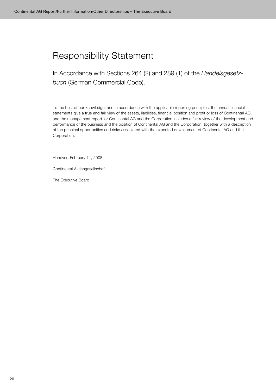# Responsibility Statement

In Accordance with Sections 264 (2) and 289 (1) of the *Handelsgesetzbuch* (German Commercial Code).

To the best of our knowledge, and in accordance with the applicable reporting principles, the annual financial statements give a true and fair view of the assets, liabilities, financial position and profit or loss of Continental AG, and the management report for Continental AG and the Corporation includes a fair review of the development and performance of the business and the position of Continental AG and the Corporation, together with a description of the principal opportunities and risks associated with the expected development of Continental AG and the Corporation.

Hanover, February 11, 2008

Continental Aktiengesellschaft

The Executive Board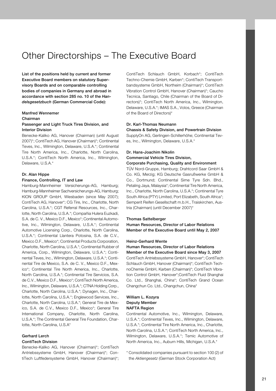## Other Directorships – The Executive Board

List of the positions held by current and former Executive Board members on statutory Supervisory Boards and on comparable controlling bodies of companies in Germany and abroad in accordance with section 285 no. 10 of the *Handelsgesetzbuch* (German Commercial Code):

### Manfred Wennemer

### Chairman

## Passenger and Light Truck Tires Division, and Interior Division

Benecke-Kaliko AG, Hanover (Chairman) (until August 2007)\*; ContiTech AG, Hanover (Chairman)\*; Continental Teves, Inc., Wilmington, Delaware, U.S.A.\*; Continental Tire North America, Inc., Charlotte, North Carolina, U.S.A.\*; ContiTech North America, Inc., Wilmington, Delaware, U.S.A.\*

### Dr. Alan Hippe

### Finance, Controlling, IT and Law

Hamburg-Mannheimer Versicherungs-AG, Hamburg; Hamburg-Mannheimer Sachversicherungs-AG, Hamburg; KION GROUP GmbH, Wiesbaden (since May 2007); ContiTech AG, Hanover\*; CG Tire, Inc., Charlotte, North Carolina, U.S.A.\*; CGT Referral Resources, Inc., Charlotte, North Carolina, U.S.A.\*; Compañia Hulera Euzkadi, S.A. de C. V., Mexico D.F., Mexico\*; Continental Automotive, Inc., Wilmington, Delaware, U.S.A.\*; Continental Automotive Licensing Corp., Charlotte, North Carolina, U.S.A.\*; Continental Llantera Potosina, S.A. de C.V., Mexico D.F., Mexico\*; Continental Products Corporation, Charlotte, North Carolina, U.S.A.\*; Continental Rubber of America, Corp., Wilmington, Delaware, U.S.A.\*; Continental Teves, Inc., Wilmington, Delaware, U.S.A.\*; Continental Tire de Mexico, S.A. de C. V., Mexico D.F., Mexico\*; Continental Tire North America, Inc., Charlotte, North Carolina, U.S.A.\*; Continental Tire Servicios, S.A. de C.V., Mexico D.F., Mexico\*; ContiTech North America, Inc., Wilmington, Delaware, U.S.A.\*; CTNA Holding Corp., Charlotte, North Carolina, U.S.A.\*; Dynagen, Inc., Charlotte, North Carolina, U.S.A.\*; Englewood Services, Inc., Charlotte, North Carolina, U.S.A.\*; General Tire de Mexico, S.A. de C.V., Mexico D.F., Mexico\*; General Tire International Company, Charlotte, North Carolina, U.S.A.\*; The Continental General Tire Foundation, Charlotte, North Carolina, U.S.A\*

### Gerhard Lerch ContiTech Division

Benecke-Kaliko AG, Hanover (Chairman)\*; ContiTech Antriebssysteme GmbH, Hanover (Chairman)\*; ContiTech Luftfedersysteme GmbH, Hanover (Chairman)\*; ContiTech Schlauch GmbH, Korbach\*; ContiTech Techno-Chemie GmbH, Karben\*; ContiTech Transportbandsysteme GmbH, Northeim (Chairman)\*; ContiTech Vibration Control GmbH, Hanover (Chairman)\*; Caucho Tecnica, Santiago, Chile (Chairman of the Board of Directors)\*; ContiTech North America, Inc., Wilmington, Delaware, U.S.A.\*; IMAS S.A., Volos, Greece (Chairman of the Board of Directors)\*

### Dr. Karl-Thomas Neumann

Chassis & Safety Division, and Powertrain Division SupplyOn AG, Gerlingen-Schillerhöhe; Continental Teves, Inc., Wilmington, Delaware, U.S.A.\*

## Dr. Hans-Joachim Nikolin Commercial Vehicle Tires Division,

## Corporate Purchasing, Quality and Environment

TÜV Nord-Gruppe, Hamburg; Drahtcord Saar GmbH & Co. KG, Merzig; KG Deutsche Gasrußwerke GmbH & Co., Dortmund; Continental Sime Tyre Sdn. Bhd., Petaling Jaya, Malaysia\*; Continental Tire North America, Inc., Charlotte, North Carolina, U.S.A.\*; Continental Tyre South Africa (PTY) Limited, Port Elizabeth, South Africa\*; Semperit Reifen Gesellschaft m.b.H., Traiskirchen, Austria (Chairman) (until December 2007)\*

### Thomas Sattelberger

Human Resources, Director of Labor Relations Member of the Executive Board until May 2, 2007

### Heinz-Gerhard Wente

## Human Resources, Director of Labor Relations Member of the Executive Board since May 3, 2007 ContiTech Antriebssysteme GmbH, Hanover\*; ContiTech Schlauch GmbH, Hanover (Chairman)\*; ContiTech TechnoChemie GmbH, Karben (Chairman)\*; ContiTech Vibration Control GmbH, Hanover\*;ContiTech Fluid Shanghai

Co. Ltd., Shanghai, China\*; ContiTech Grand Ocean Changchun Co. Ltd., Changchun, China\*

### William L. Kozyra Deputy Member NAFTA Region

Continental Automotive, Inc., Wilmington, Delaware, U.S.A.\*; Continental Teves, Inc., Wilmington, Delaware, U.S.A.\*; Continental Tire North America, Inc., Charlotte, North Carolina, U.S.A.\*; ContiTech North America, Inc., Wilmington, Delaware, U.S.A.\*; Temic Automotive of North America, Inc., Auburn Hills, Michigan, U.S.A.\*

\* Consolidated companies pursuant to section 100 (2) of the *Aktiengesetz* (German Stock Corporation Act)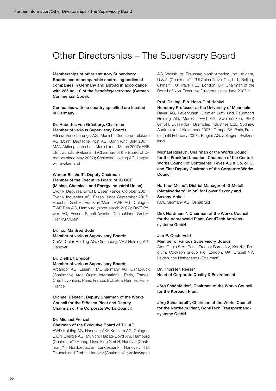## Other Directorships – The Supervisory Board

Memberships of other statutory Supervisory Boards and of comparable controlling bodies of companies in Germany and abroad in accordance with 285 no. 10 of the *Handelsgesetzbuch* (German Commercial Code):

Companies with no country specified are located in Germany.

### Dr. Hubertus von Grünberg, Chairman Member of various Supervisory Boards

Allianz Versicherungs-AG, Munich; Deutsche Telekom AG, Bonn; Deutsche Post AG, Bonn (until July 2007); MAN Aktiengesellschaft, Munich (until March 2007); ABB Ltd., Zürich, Switzerland (Chairman of the Board of Directors since May 2007); Schindler Holding AG, Hergiswil, Switzerland

### Werner Bischoff\*, Deputy Chairman Member of the Executive Board of IG BCE (Mining, Chemical, and Energy Industrial Union)

Evonik Degussa GmbH, Essen (since October 2007); Evonik Industries AG, Essen (since September 2007); Hoechst GmbH, Frankfurt/Main; RWE AG, Cologne; RWE Dea AG, Hamburg (since March 2007); RWE Power AG, Essen; Sanofi-Aventis Deutschland GmbH, Frankfurt/Main

## Dr. h.c. Manfred Bodin

## Member of various Supervisory Boards

CeWe Color Holding AG, Oldenburg; VHV Holding AG, Hanover

#### Dr. Diethart Breipohl

#### Member of various Supervisory Boards

Arcandor AG, Essen; KME Germany AG, Osnabrück (Chairman); Atos Origin International, Paris, France; Crédit Lyonnais, Paris, France; EULER & Hermes, Paris, France

Michael Deister\*, Deputy Chairman of the Works Council for the Stöcken Plant and Deputy Chairman of the Corporate Works Council

### Dr. Michael Frenzel

### Chairman of the Executive Board of TUI AG

AWD Holding AG, Hanover; AXA Konzern AG, Cologne; E.ON Energie AG, Munich; Hapag-Lloyd AG, Hamburg (Chairman)\*\*; Hapag-Lloyd Flug GmbH, Hanover (Chairman)\*\*; Norddeutsche Landesbank, Hanover; TUI Deutschland GmbH, Hanover (Chairman)\*\*; Volkswagen

AG, Wolfsburg; Preussag North America, Inc., Atlanta, U.S.A. (Chairman)\*\*; TUI China Travel Co., Ltd., Beijing, China\*\*; TUI Travel PLC, London, UK (Chairman of the Board of Non-Executive Directors since June 2007)\*\*

### Prof. Dr.-Ing. E.h. Hans-Olaf Henkel

Honorary Professor at the University of Mannheim Bayer AG, Leverkusen; Daimler Luft- und Raumfahrt Holding AG, Munich; EPG AG, Zweibrücken; SMS GmbH, Düsseldorf; Brambles Industries Ltd., Sydney, Australia (until November 2007); Orange SA, Paris, France (until February 2007); Ringier AG, Zofingen, Switzerland

Michael Iglhaut\*, Chairman of the Works Council for the Frankfurt Location, Chairman of the Central Works Council of Continental Teves AG & Co. oHG, and First Deputy Chairman of the Corporate Works Council

Hartmut Meine\*, District Manager of IG Metall (Metalworkers' Union) for Lower Saxony and Saxony-Anhalt KME Germany AG, Osnabrück

Dirk Nordmann\*, Chairman of the Works Council for the Vahrenwald Plant, ContiTech Antriebssysteme GmbH

### Jan P. Oosterveld

### Member of various Supervisory Boards

Atos Origin S.A., Paris, France; Barco NV, Kortrijk, Belgium; Cookson Group Plc, London, UK; Crucell NV, Leiden, the Netherlands (Chairman)

#### Dr. Thorsten Reese\*

Head of Corporate Quality & Environment

Jörg Schönfelder\*, Chairman of the Works Council for the Korbach Plant

Jörg Schustereit\*, Chairman of the Works Council for the Northeim Plant, ContiTech Transportbandsysteme GmbH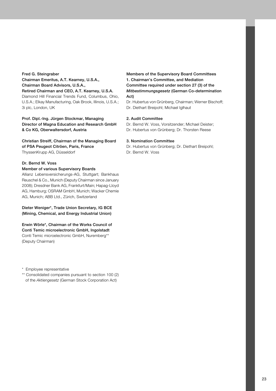## Fred G. Steingraber

## Chairman Emeritus, A.T. Kearney, U.S.A., Chairman Board Advisors, U.S.A.,

Retired Chairman and CEO, A.T. Kearney, U.S.A.

Diamond Hill Financial Trends Fund, Columbus, Ohio, U.S.A.; Elkay Manufacturing, Oak Brook, Illinois, U.S.A.; 3i plc, London, UK

Prof. Dipl.-Ing. Jürgen Stockmar, Managing Director of Magna Education and Research GmbH & Co KG, Oberwaltersdorf, Austria

Christian Streiff, Chairman of the Managing Board of PSA Peugeot Citröen, Paris, France ThyssenKrupp AG, Düsseldorf

## Dr. Bernd W. Voss

#### Member of various Supervisory Boards

Allianz Lebensversicherungs-AG, Stuttgart; Bankhaus Reuschel & Co., Munich (Deputy Chairman since January 2008); Dresdner Bank AG, Frankfurt/Main; Hapag-Lloyd AG, Hamburg; OSRAM GmbH, Munich; Wacker Chemie AG, Munich; ABB Ltd., Zürich, Switzerland

Dieter Weniger\*, Trade Union Secretary, IG BCE (Mining, Chemical, and Energy Industrial Union)

Erwin Wörle\*, Chairman of the Works Council of Conti Temic microelectronic GmbH, Ingolstadt Conti Temic microelectronic GmbH, Nuremberg\*\* (Deputy Chairman)

\* Employee representative

\*\* Consolidated companies pursuant to section 100 (2) of the *Aktiengesetz* (German Stock Corporation Act)

Members of the Supervisory Board Committees 1. Chairman's Committee, and Mediation Committee required under section 27 (3) of the *Mitbestimmungsgesetz* (German Co-determination Act)

Dr. Hubertus von Grünberg, Chairman; Werner Bischoff; Dr. Diethart Breipohl; Michael Iglhaut

### 2. Audit Committee

Dr. Bernd W. Voss, Vorsitzender; Michael Deister; Dr. Hubertus von Grünberg; Dr. Thorsten Reese

### 3. Nomination Committee

Dr. Hubertus von Grünberg; Dr. Diethart Breipohl; Dr. Bernd W. Voss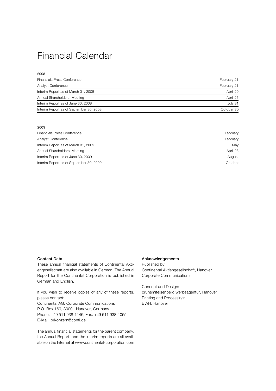## Financial Calendar

| 2008                                    |             |
|-----------------------------------------|-------------|
| <b>Financials Press Conference</b>      | February 21 |
| Analyst Conference                      | February 21 |
| Interim Report as of March 31, 2008     | April 29    |
| Annual Shareholders' Meeting            | April 25    |
| Interim Report as of June 30, 2008      | July 31     |
| Interim Report as of September 30, 2008 | October 30  |

### 2009

| Financials Press Conference             | February |
|-----------------------------------------|----------|
| Analyst Conference                      | February |
| Interim Report as of March 31, 2009     | May      |
| Annual Shareholders' Meeting            | April 23 |
| Interim Report as of June 30, 2009      | August   |
| Interim Report as of September 30, 2009 | October  |

#### Contact Data

These annual financial statements of Continental Aktiengesellschaft are also available in German. The Annual Report for the Continental Corporation is published in German and English.

If you wish to receive copies of any of these reports, please contact: Continental AG, Corporate Communications P.O. Box 169, 30001 Hanover, Germany Phone: +49 511 938-1146, Fax: +49 511 938-1055 E-Mail: prkonzern@conti.de

The annual financial statements for the parent company, the Annual Report, and the interim reports are all available on the Internet at www.continental-corporation.com

#### Acknowledgements

Published by: Continental Aktiengesellschaft, Hanover Corporate Communications

Concept and Design: brunsmiteisenberg werbeagentur, Hanover Printing and Processing: BWH, Hanover